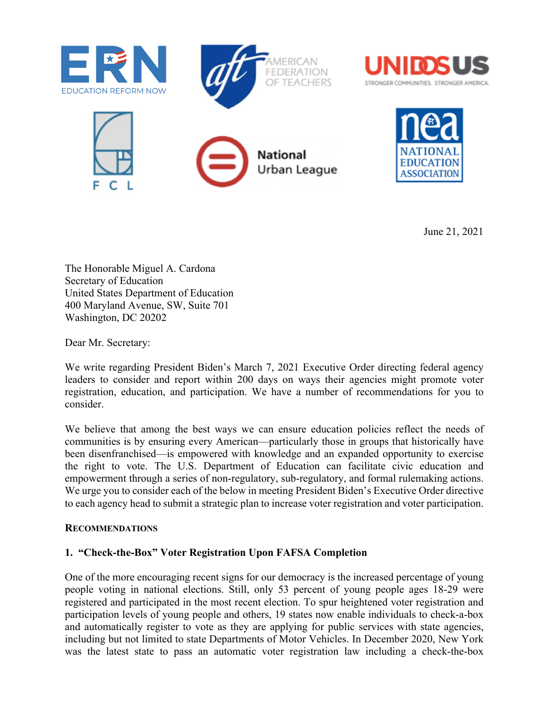





June 21, 2021

The Honorable Miguel A. Cardona Secretary of Education United States Department of Education 400 Maryland Avenue, SW, Suite 701 Washington, DC 20202

Dear Mr. Secretary:

We write regarding President Biden's March 7, 2021 Executive Order directing federal agency leaders to consider and report within 200 days on ways their agencies might promote voter registration, education, and participation. We have a number of recommendations for you to consider.

We believe that among the best ways we can ensure education policies reflect the needs of communities is by ensuring every American—particularly those in groups that historically have been disenfranchised—is empowered with knowledge and an expanded opportunity to exercise the right to vote. The U.S. Department of Education can facilitate civic education and empowerment through a series of non-regulatory, sub-regulatory, and formal rulemaking actions. We urge you to consider each of the below in meeting President Biden's Executive Order directive to each agency head to submit a strategic plan to increase voter registration and voter participation.

#### **RECOMMENDATIONS**

### **1. "Check-the-Box" Voter Registration Upon FAFSA Completion**

One of the more encouraging recent signs for our democracy is the increased percentage of young people voting in national elections. Still, only 53 percent of young people ages 18-29 were registered and participated in the most recent election. To spur heightened voter registration and participation levels of young people and others, 19 states now enable individuals to check-a-box and automatically register to vote as they are applying for public services with state agencies, including but not limited to state Departments of Motor Vehicles. In December 2020, New York was the latest state to pass an automatic voter registration law including a check-the-box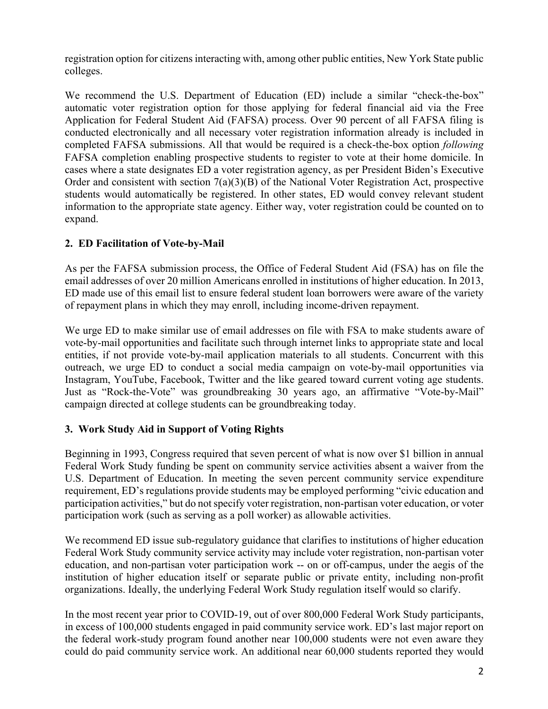registration option for citizens interacting with, among other public entities, New York State public colleges.

We recommend the U.S. Department of Education (ED) include a similar "check-the-box" automatic voter registration option for those applying for federal financial aid via the Free Application for Federal Student Aid (FAFSA) process. Over 90 percent of all FAFSA filing is conducted electronically and all necessary voter registration information already is included in completed FAFSA submissions. All that would be required is a check-the-box option *following* FAFSA completion enabling prospective students to register to vote at their home domicile. In cases where a state designates ED a voter registration agency, as per President Biden's Executive Order and consistent with section 7(a)(3)(B) of the National Voter Registration Act, prospective students would automatically be registered. In other states, ED would convey relevant student information to the appropriate state agency. Either way, voter registration could be counted on to expand.

# **2. ED Facilitation of Vote-by-Mail**

As per the FAFSA submission process, the Office of Federal Student Aid (FSA) has on file the email addresses of over 20 million Americans enrolled in institutions of higher education. In 2013, ED made use of this email list to ensure federal student loan borrowers were aware of the variety of repayment plans in which they may enroll, including income-driven repayment.

We urge ED to make similar use of email addresses on file with FSA to make students aware of vote-by-mail opportunities and facilitate such through internet links to appropriate state and local entities, if not provide vote-by-mail application materials to all students. Concurrent with this outreach, we urge ED to conduct a social media campaign on vote-by-mail opportunities via Instagram, YouTube, Facebook, Twitter and the like geared toward current voting age students. Just as "Rock-the-Vote" was groundbreaking 30 years ago, an affirmative "Vote-by-Mail" campaign directed at college students can be groundbreaking today.

### **3. Work Study Aid in Support of Voting Rights**

Beginning in 1993, Congress required that seven percent of what is now over \$1 billion in annual Federal Work Study funding be spent on community service activities absent a waiver from the U.S. Department of Education. In meeting the seven percent community service expenditure requirement, ED's regulations provide students may be employed performing "civic education and participation activities," but do not specify voter registration, non-partisan voter education, or voter participation work (such as serving as a poll worker) as allowable activities.

We recommend ED issue sub-regulatory guidance that clarifies to institutions of higher education Federal Work Study community service activity may include voter registration, non-partisan voter education, and non-partisan voter participation work -- on or off-campus, under the aegis of the institution of higher education itself or separate public or private entity, including non-profit organizations. Ideally, the underlying Federal Work Study regulation itself would so clarify.

In the most recent year prior to COVID-19, out of over 800,000 Federal Work Study participants, in excess of 100,000 students engaged in paid community service work. ED's last major report on the federal work-study program found another near 100,000 students were not even aware they could do paid community service work. An additional near 60,000 students reported they would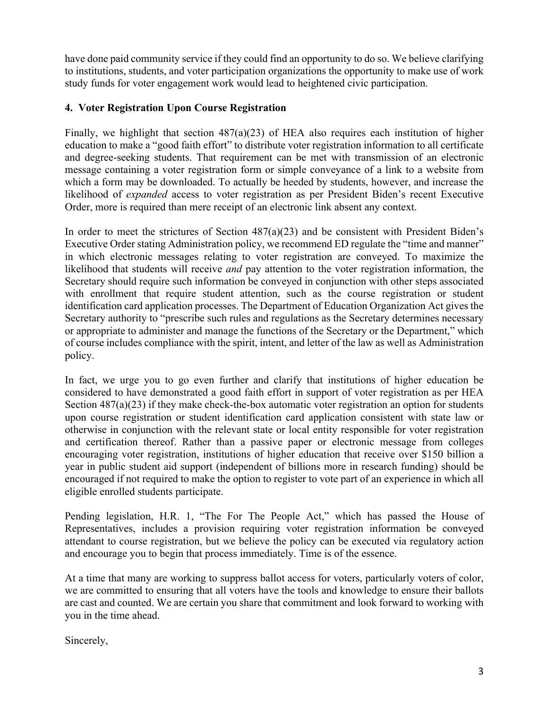have done paid community service if they could find an opportunity to do so. We believe clarifying to institutions, students, and voter participation organizations the opportunity to make use of work study funds for voter engagement work would lead to heightened civic participation.

## **4. Voter Registration Upon Course Registration**

Finally, we highlight that section 487(a)(23) of HEA also requires each institution of higher education to make a "good faith effort" to distribute voter registration information to all certificate and degree-seeking students. That requirement can be met with transmission of an electronic message containing a voter registration form or simple conveyance of a link to a website from which a form may be downloaded. To actually be heeded by students, however, and increase the likelihood of *expanded* access to voter registration as per President Biden's recent Executive Order, more is required than mere receipt of an electronic link absent any context.

In order to meet the strictures of Section  $487(a)(23)$  and be consistent with President Biden's Executive Order stating Administration policy, we recommend ED regulate the "time and manner" in which electronic messages relating to voter registration are conveyed. To maximize the likelihood that students will receive *and* pay attention to the voter registration information, the Secretary should require such information be conveyed in conjunction with other steps associated with enrollment that require student attention, such as the course registration or student identification card application processes. The Department of Education Organization Act gives the Secretary authority to "prescribe such rules and regulations as the Secretary determines necessary or appropriate to administer and manage the functions of the Secretary or the Department," which of course includes compliance with the spirit, intent, and letter of the law as well as Administration policy.

In fact, we urge you to go even further and clarify that institutions of higher education be considered to have demonstrated a good faith effort in support of voter registration as per HEA Section 487(a)(23) if they make check-the-box automatic voter registration an option for students upon course registration or student identification card application consistent with state law or otherwise in conjunction with the relevant state or local entity responsible for voter registration and certification thereof. Rather than a passive paper or electronic message from colleges encouraging voter registration, institutions of higher education that receive over \$150 billion a year in public student aid support (independent of billions more in research funding) should be encouraged if not required to make the option to register to vote part of an experience in which all eligible enrolled students participate.

Pending legislation, H.R. 1, "The For The People Act," which has passed the House of Representatives, includes a provision requiring voter registration information be conveyed attendant to course registration, but we believe the policy can be executed via regulatory action and encourage you to begin that process immediately. Time is of the essence.

At a time that many are working to suppress ballot access for voters, particularly voters of color, we are committed to ensuring that all voters have the tools and knowledge to ensure their ballots are cast and counted. We are certain you share that commitment and look forward to working with you in the time ahead.

Sincerely,